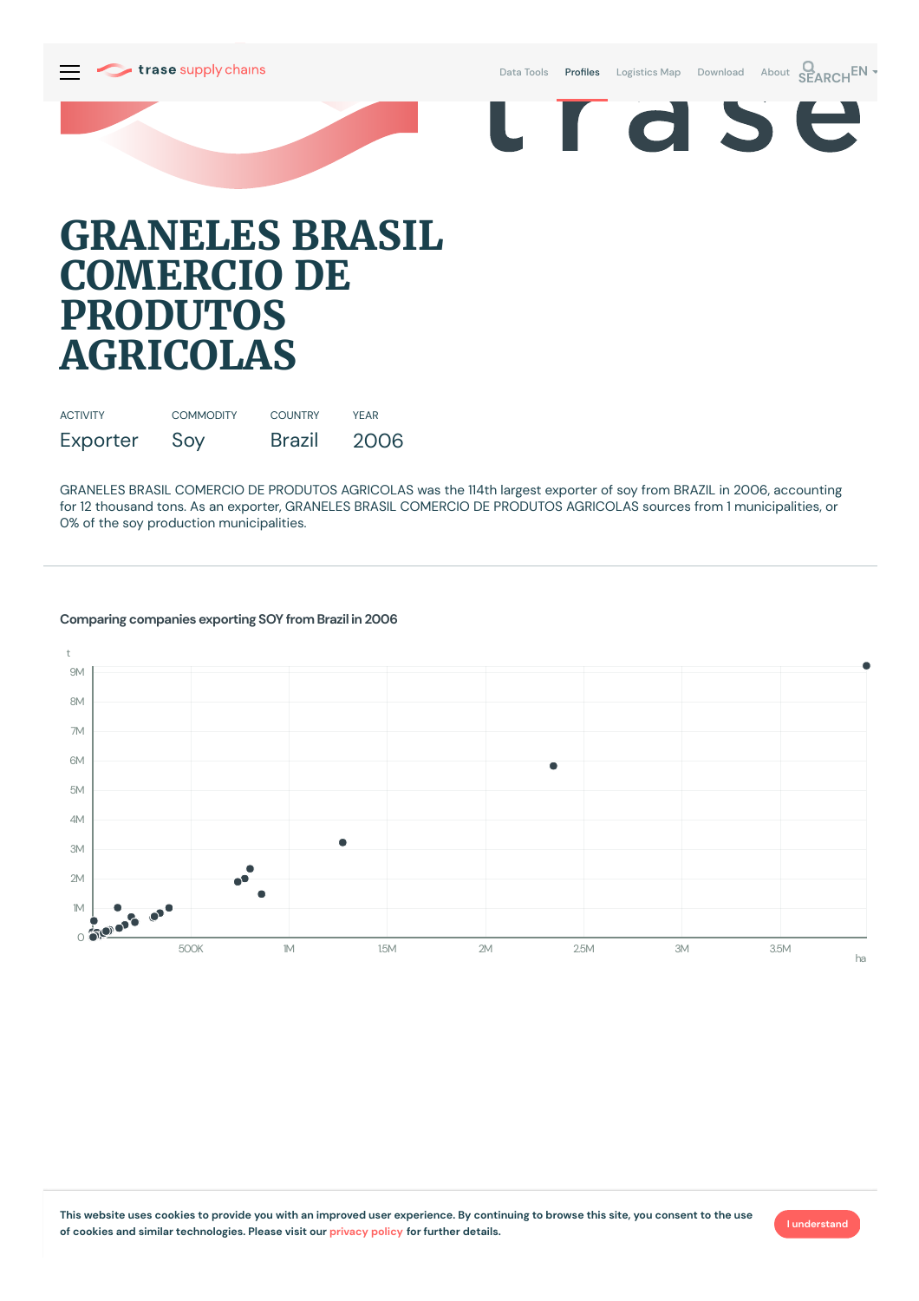

Data [Tools](https://supplychains.trase.earth/explore) **Profiles** [Logistics](https://supplychains.trase.earth/logistics-map) Map [Download](https://supplychains.trase.earth/data) [About](https://supplychains.trase.earth/about) **SEARCH<sup>EN</sup>** 



# **GRANELES BRASIL COMERCIO DE PRODUTOS AGRICOLAS**

| <b>ACTIVITY</b> | <b>COMMODITY</b> | <b>COUNTRY</b> | <b>YFAR</b> |
|-----------------|------------------|----------------|-------------|
| Exporter        | Soy              | Brazil         | 2006        |

GRANELES BRASIL COMERCIO DE PRODUTOS AGRICOLAS was the 114th largest exporter of soy from BRAZIL in 2006, accounting for 12 thousand tons. As an exporter, GRANELES BRASIL COMERCIO DE PRODUTOS AGRICOLAS sources from 1municipalities, or 0% of the soy production municipalities.

# **Comparing companies exporting SOY from Brazil in 2006**



**I understand**